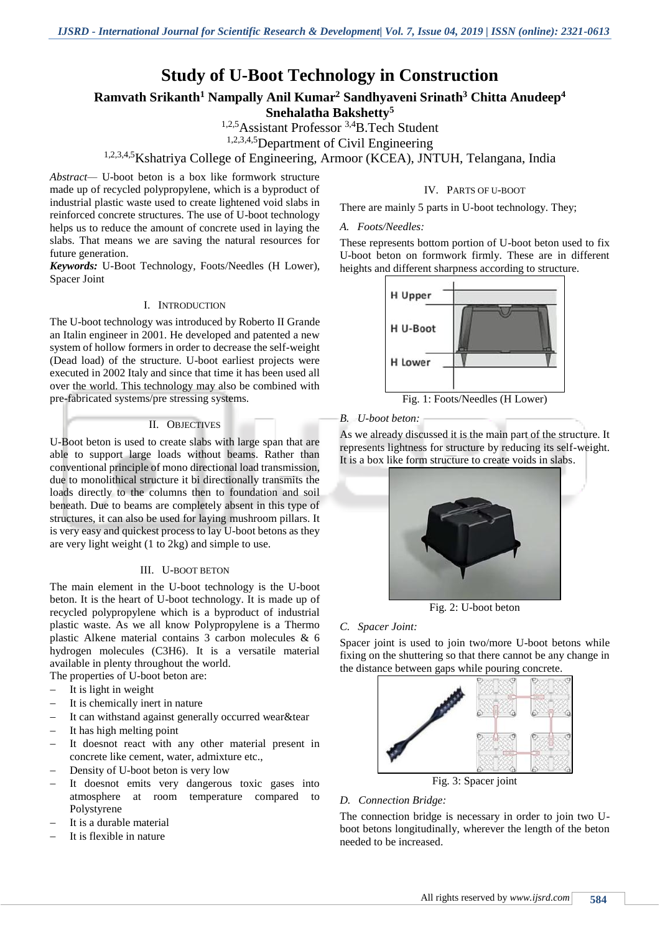# **Study of U-Boot Technology in Construction**

# **Ramvath Srikanth<sup>1</sup> Nampally Anil Kumar <sup>2</sup> Sandhyaveni Srinath<sup>3</sup> Chitta Anudeep<sup>4</sup> Snehalatha Bakshetty<sup>5</sup>**

1,2,5Assistant Professor 3,4B.Tech Student

1,2,3,4,5Department of Civil Engineering

# 1,2,3,4,5Kshatriya College of Engineering, Armoor (KCEA), JNTUH, Telangana, India

*Abstract—* U-boot beton is a box like formwork structure made up of recycled polypropylene, which is a byproduct of industrial plastic waste used to create lightened void slabs in reinforced concrete structures. The use of U-boot technology helps us to reduce the amount of concrete used in laying the slabs. That means we are saving the natural resources for future generation.

*Keywords:* U-Boot Technology, Foots/Needles (H Lower), Spacer Joint

#### I. INTRODUCTION

The U-boot technology was introduced by Roberto II Grande an Italin engineer in 2001. He developed and patented a new system of hollow formers in order to decrease the self-weight (Dead load) of the structure. U-boot earliest projects were executed in 2002 Italy and since that time it has been used all over the world. This technology may also be combined with pre-fabricated systems/pre stressing systems.

#### II. OBJECTIVES

U-Boot beton is used to create slabs with large span that are able to support large loads without beams. Rather than conventional principle of mono directional load transmission, due to monolithical structure it bi directionally transmits the loads directly to the columns then to foundation and soil beneath. Due to beams are completely absent in this type of structures, it can also be used for laying mushroom pillars. It is very easy and quickest process to lay U-boot betons as they are very light weight (1 to 2kg) and simple to use.

#### III. U-BOOT BETON

The main element in the U-boot technology is the U-boot beton. It is the heart of U-boot technology. It is made up of recycled polypropylene which is a byproduct of industrial plastic waste. As we all know Polypropylene is a Thermo plastic Alkene material contains 3 carbon molecules & 6 hydrogen molecules (C3H6). It is a versatile material available in plenty throughout the world. The properties of U-boot beton are:

It is light in weight

- It is chemically inert in nature
- It can withstand against generally occurred wear&tear
- It has high melting point
- It doesnot react with any other material present in concrete like cement, water, admixture etc.,
- Density of U-boot beton is very low
- It doesnot emits very dangerous toxic gases into atmosphere at room temperature compared to Polystyrene
- It is a durable material
- It is flexible in nature

### IV. PARTS OF U-BOOT

There are mainly 5 parts in U-boot technology. They;

#### *A. Foots/Needles:*

These represents bottom portion of U-boot beton used to fix U-boot beton on formwork firmly. These are in different heights and different sharpness according to structure.



Fig. 1: Foots/Needles (H Lower)

### *B. U-boot beton:*

As we already discussed it is the main part of the structure. It represents lightness for structure by reducing its self-weight. It is a box like form structure to create voids in slabs.



Fig. 2: U-boot beton

### *C. Spacer Joint:*

Spacer joint is used to join two/more U-boot betons while fixing on the shuttering so that there cannot be any change in the distance between gaps while pouring concrete.



Fig. 3: Spacer joint

#### *D. Connection Bridge:*

The connection bridge is necessary in order to join two Uboot betons longitudinally, wherever the length of the beton needed to be increased.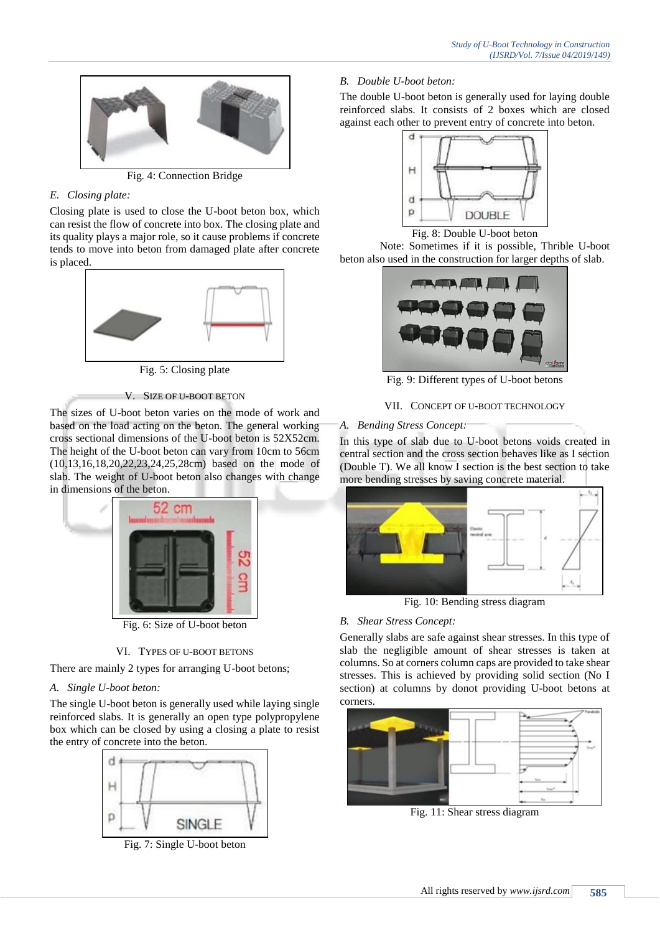

Fig. 4: Connection Bridge

# *E. Closing plate:*

Closing plate is used to close the U-boot beton box, which can resist the flow of concrete into box. The closing plate and its quality plays a major role, so it cause problems if concrete tends to move into beton from damaged plate after concrete is placed.



Fig. 5: Closing plate

V. SIZE OF U-BOOT BETON

The sizes of U-boot beton varies on the mode of work and based on the load acting on the beton. The general working cross sectional dimensions of the U-boot beton is 52X52cm. The height of the U-boot beton can vary from 10cm to 56cm (10,13,16,18,20,22,23,24,25,28cm) based on the mode of slab. The weight of U-boot beton also changes with change in dimensions of the beton.



Fig. 6: Size of U-boot beton

## VI. TYPES OF U-BOOT BETONS

There are mainly 2 types for arranging U-boot betons;

# *A. Single U-boot beton:*

The single U-boot beton is generally used while laying single reinforced slabs. It is generally an open type polypropylene box which can be closed by using a closing a plate to resist the entry of concrete into the beton.



Fig. 7: Single U-boot beton

*B. Double U-boot beton:* 

The double U-boot beton is generally used for laying double reinforced slabs. It consists of 2 boxes which are closed against each other to prevent entry of concrete into beton.



Fig. 8: Double U-boot beton

Note: Sometimes if it is possible, Thrible U-boot beton also used in the construction for larger depths of slab.



Fig. 9: Different types of U-boot betons

# VII. CONCEPT OF U-BOOT TECHNOLOGY

# *A. Bending Stress Concept:*

In this type of slab due to U-boot betons voids created in central section and the cross section behaves like as I section (Double T). We all know I section is the best section to take more bending stresses by saving concrete material.



Fig. 10: Bending stress diagram

## *B. Shear Stress Concept:*

Generally slabs are safe against shear stresses. In this type of slab the negligible amount of shear stresses is taken at columns. So at corners column caps are provided to take shear stresses. This is achieved by providing solid section (No I section) at columns by donot providing U-boot betons at corners.



Fig. 11: Shear stress diagram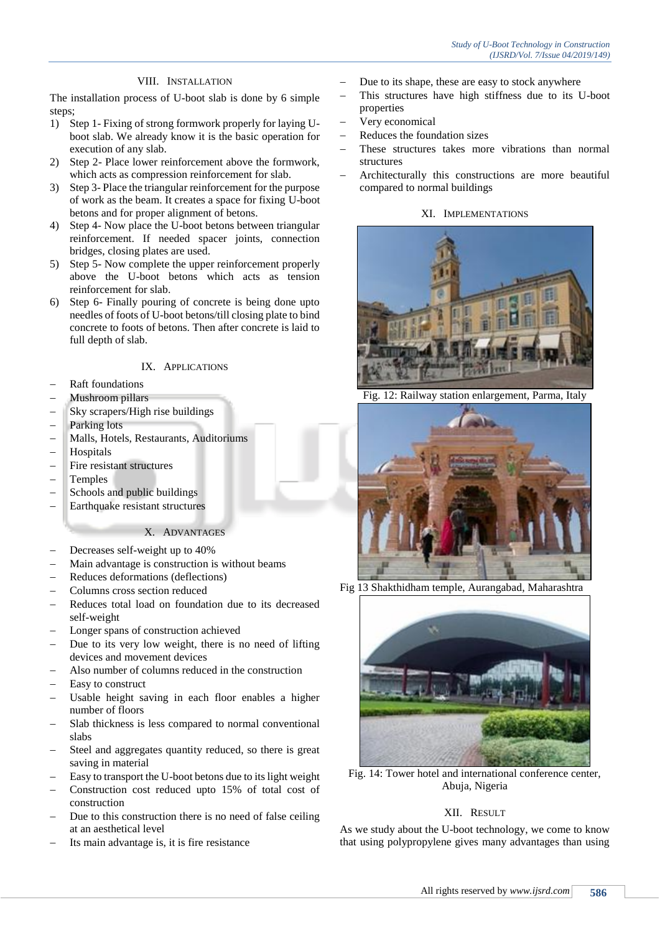### VIII. INSTALLATION

The installation process of U-boot slab is done by 6 simple steps;

- 1) Step 1- Fixing of strong formwork properly for laying Uboot slab. We already know it is the basic operation for execution of any slab.
- 2) Step 2- Place lower reinforcement above the formwork, which acts as compression reinforcement for slab.
- 3) Step 3- Place the triangular reinforcement for the purpose of work as the beam. It creates a space for fixing U-boot betons and for proper alignment of betons.
- 4) Step 4- Now place the U-boot betons between triangular reinforcement. If needed spacer joints, connection bridges, closing plates are used.
- 5) Step 5- Now complete the upper reinforcement properly above the U-boot betons which acts as tension reinforcement for slab.
- 6) Step 6- Finally pouring of concrete is being done upto needles of foots of U-boot betons/till closing plate to bind concrete to foots of betons. Then after concrete is laid to full depth of slab.

#### IX. APPLICATIONS

- Raft foundations
- Mushroom pillars
- Sky scrapers/High rise buildings
- Parking lots
- Malls, Hotels, Restaurants, Auditoriums
- Hospitals
- Fire resistant structures
- Temples
- Schools and public buildings
- Earthquake resistant structures

### X. ADVANTAGES

- Decreases self-weight up to 40%
- Main advantage is construction is without beams
- Reduces deformations (deflections)
- Columns cross section reduced
- Reduces total load on foundation due to its decreased self-weight
- Longer spans of construction achieved
- Due to its very low weight, there is no need of lifting devices and movement devices
- Also number of columns reduced in the construction
- Easy to construct
- Usable height saving in each floor enables a higher number of floors
- Slab thickness is less compared to normal conventional slabs
- Steel and aggregates quantity reduced, so there is great saving in material
- Easy to transport the U-boot betons due to its light weight
- Construction cost reduced upto 15% of total cost of construction
- Due to this construction there is no need of false ceiling at an aesthetical level
- Its main advantage is, it is fire resistance
- Due to its shape, these are easy to stock anywhere
- This structures have high stiffness due to its U-boot properties
- Very economical
- Reduces the foundation sizes
- These structures takes more vibrations than normal structures
- Architecturally this constructions are more beautiful compared to normal buildings

### XI. IMPLEMENTATIONS



12: Railway station enlargement, Parma, Italy



Fig 13 Shakthidham temple, Aurangabad, Maharashtra



Fig. 14: Tower hotel and international conference center, Abuja, Nigeria

### XII. RESULT

As we study about the U-boot technology, we come to know that using polypropylene gives many advantages than using